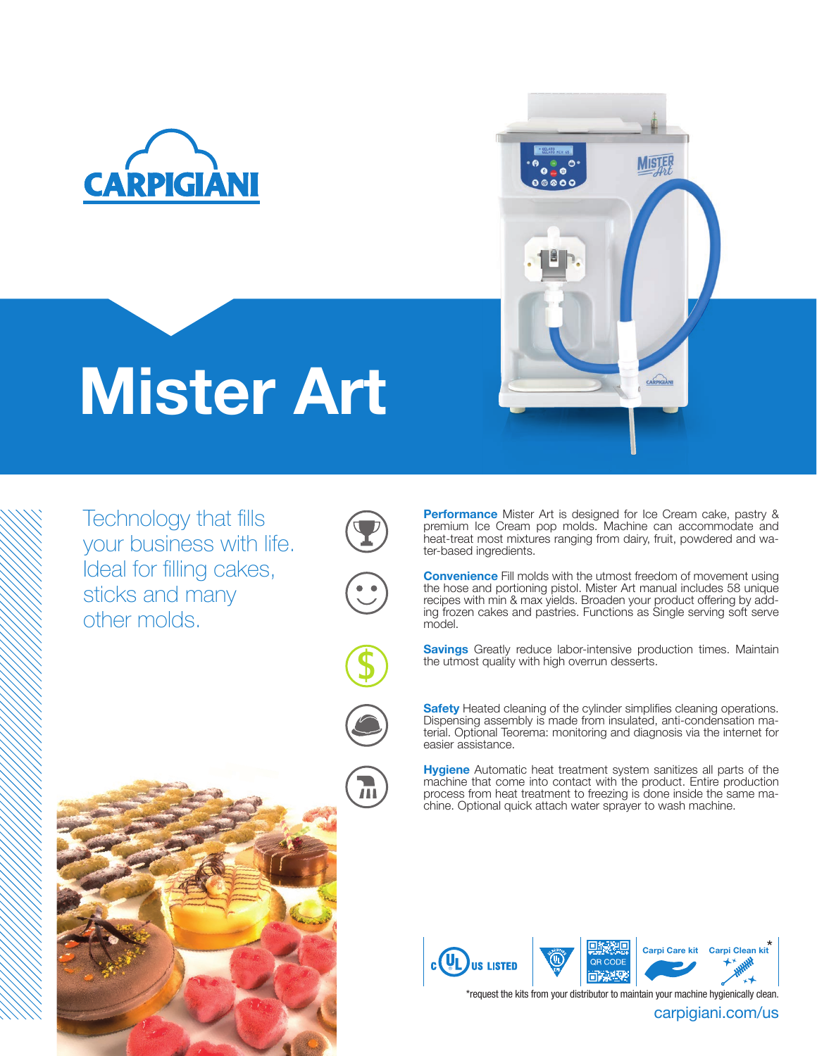

# Mister Art

Technology that fills your business with life. Ideal for filling cakes, sticks and many other molds.











Performance Mister Art is designed for Ice Cream cake, pastry & premium Ice Cream pop molds. Machine can accommodate and heat-treat most mixtures ranging from dairy, fruit, powdered and water-based ingredients.

**MISTE** 

CARPIGIAN

**Convenience** Fill molds with the utmost freedom of movement using the hose and portioning pistol. Mister Art manual includes 58 unique recipes with min & max yields. Broaden your product offering by adding frozen cakes and pastries. Functions as Single serving soft serve model.

Savings Greatly reduce labor-intensive production times. Maintain the utmost quality with high overrun desserts.

Safety Heated cleaning of the cylinder simplifies cleaning operations. Dispensing assembly is made from insulated, anti-condensation material. Optional Teorema: monitoring and diagnosis via the internet for easier assistance.

Hygiene Automatic heat treatment system sanitizes all parts of the machine that come into contact with the product. Entire production process from heat treatment to freezing is done inside the same machine. Optional quick attach water sprayer to wash machine.



\*request the kits from your distributor to maintain your machine hygienically clean.

carpigiani.com/us